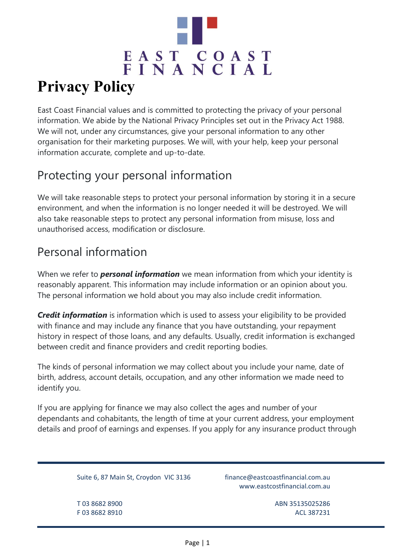

East Coast Financial values and is committed to protecting the privacy of your personal information. We abide by the National Privacy Principles set out in the Privacy Act 1988. We will not, under any circumstances, give your personal information to any other organisation for their marketing purposes. We will, with your help, keep your personal information accurate, complete and up-to-date.

# Protecting your personal information

We will take reasonable steps to protect your personal information by storing it in a secure environment, and when the information is no longer needed it will be destroyed. We will also take reasonable steps to protect any personal information from misuse, loss and unauthorised access, modification or disclosure.

# Personal information

When we refer to *personal information* we mean information from which your identity is reasonably apparent. This information may include information or an opinion about you. The personal information we hold about you may also include credit information.

*Credit information* is information which is used to assess your eligibility to be provided with finance and may include any finance that you have outstanding, your repayment history in respect of those loans, and any defaults. Usually, credit information is exchanged between credit and finance providers and credit reporting bodies.

The kinds of personal information we may collect about you include your name, date of birth, address, account details, occupation, and any other information we made need to identify you.

If you are applying for finance we may also collect the ages and number of your dependants and cohabitants, the length of time at your current address, your employment details and proof of earnings and expenses. If you apply for any insurance product through

Suite 6, 87 Main St, Croydon VIC 3136 finance@eastcoastfinancial.com.au

www.eastcostfinancial.com.au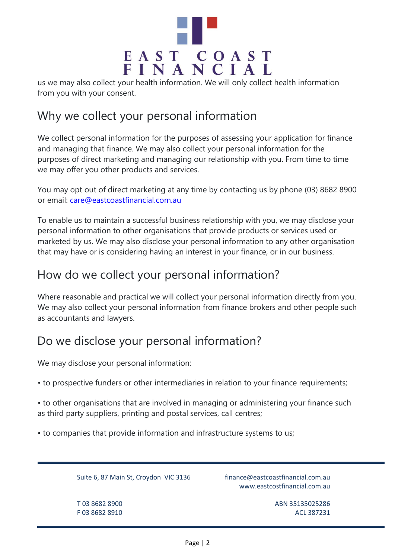

us we may also collect your health information. We will only collect health information from you with your consent.

# Why we collect your personal information

We collect personal information for the purposes of assessing your application for finance and managing that finance. We may also collect your personal information for the purposes of direct marketing and managing our relationship with you. From time to time we may offer you other products and services.

You may opt out of direct marketing at any time by contacting us by phone (03) 8682 8900 or email: [care@eastcoastfinancial.com.au](mailto:care@eastcoastfinancial.com.au)

To enable us to maintain a successful business relationship with you, we may disclose your personal information to other organisations that provide products or services used or marketed by us. We may also disclose your personal information to any other organisation that may have or is considering having an interest in your finance, or in our business.

### How do we collect your personal information?

Where reasonable and practical we will collect your personal information directly from you. We may also collect your personal information from finance brokers and other people such as accountants and lawyers.

### Do we disclose your personal information?

We may disclose your personal information:

• to prospective funders or other intermediaries in relation to your finance requirements;

• to other organisations that are involved in managing or administering your finance such as third party suppliers, printing and postal services, call centres;

• to companies that provide information and infrastructure systems to us;

Suite 6, 87 Main St, Croydon VIC 3136 finance@eastcoastfinancial.com.au

www.eastcostfinancial.com.au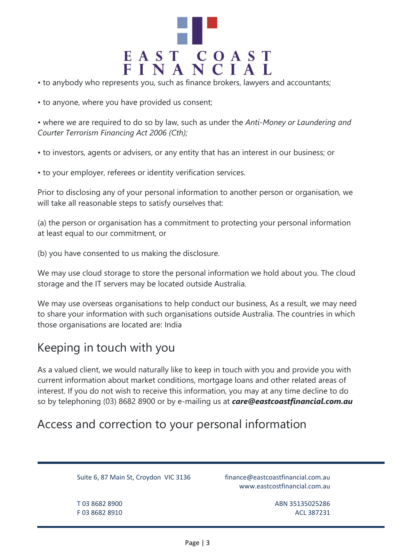

- to anybody who represents you, such as finance brokers, lawyers and accountants;
- to anyone, where you have provided us consent;

• where we are required to do so by law, such as under the *Anti-Money or Laundering and Courter Terrorism Financing Act 2006 (Cth);*

• to investors, agents or advisers, or any entity that has an interest in our business; or

• to your employer, referees or identity verification services.

Prior to disclosing any of your personal information to another person or organisation, we will take all reasonable steps to satisfy ourselves that:

(a) the person or organisation has a commitment to protecting your personal information at least equal to our commitment, or

(b) you have consented to us making the disclosure.

We may use cloud storage to store the personal information we hold about you. The cloud storage and the IT servers may be located outside Australia.

We may use overseas organisations to help conduct our business, As a result, we may need to share your information with such organisations outside Australia. The countries in which those organisations are located are: India

#### Keeping in touch with you

As a valued client, we would naturally like to keep in touch with you and provide you with current information about market conditions, mortgage loans and other related areas of interest. If you do not wish to receive this information, you may at any time decline to do so by telephoning (03) 8682 8900 or by e-mailing us at *care@eastcoastfinancial.com.au*

### Access and correction to your personal information

Suite 6, 87 Main St, Croydon VIC 3136 finance@eastcoastfinancial.com.au

www.eastcostfinancial.com.au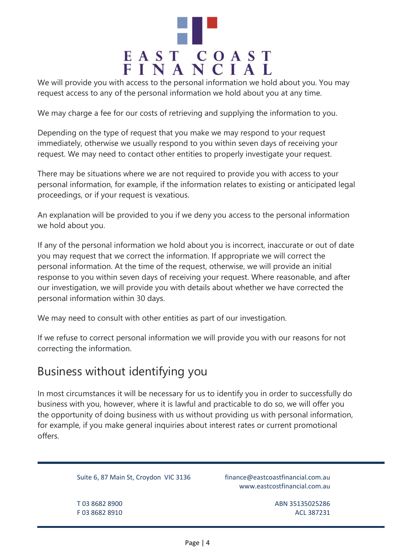

We will provide you with access to the personal information we hold about you. You may request access to any of the personal information we hold about you at any time.

We may charge a fee for our costs of retrieving and supplying the information to you.

Depending on the type of request that you make we may respond to your request immediately, otherwise we usually respond to you within seven days of receiving your request. We may need to contact other entities to properly investigate your request.

There may be situations where we are not required to provide you with access to your personal information, for example, if the information relates to existing or anticipated legal proceedings, or if your request is vexatious.

An explanation will be provided to you if we deny you access to the personal information we hold about you.

If any of the personal information we hold about you is incorrect, inaccurate or out of date you may request that we correct the information. If appropriate we will correct the personal information. At the time of the request, otherwise, we will provide an initial response to you within seven days of receiving your request. Where reasonable, and after our investigation, we will provide you with details about whether we have corrected the personal information within 30 days.

We may need to consult with other entities as part of our investigation.

If we refuse to correct personal information we will provide you with our reasons for not correcting the information.

#### Business without identifying you

In most circumstances it will be necessary for us to identify you in order to successfully do business with you, however, where it is lawful and practicable to do so, we will offer you the opportunity of doing business with us without providing us with personal information, for example, if you make general inquiries about interest rates or current promotional offers.

Suite 6, 87 Main St, Croydon VIC 3136 finance@eastcoastfinancial.com.au

www.eastcostfinancial.com.au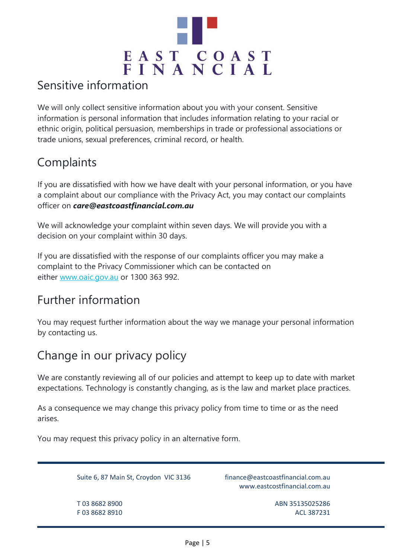

### Sensitive information

We will only collect sensitive information about you with your consent. Sensitive information is personal information that includes information relating to your racial or ethnic origin, political persuasion, memberships in trade or professional associations or trade unions, sexual preferences, criminal record, or health.

# **Complaints**

If you are dissatisfied with how we have dealt with your personal information, or you have a complaint about our compliance with the Privacy Act, you may contact our complaints officer on *care@eastcoastfinancial.com.au*

We will acknowledge your complaint within seven days. We will provide you with a decision on your complaint within 30 days.

If you are dissatisfied with the response of our complaints officer you may make a complaint to the Privacy Commissioner which can be contacted on either [www.oaic.gov.au](http://www.oaic.gov.au/) or 1300 363 992.

### Further information

You may request further information about the way we manage your personal information by contacting us.

# Change in our privacy policy

We are constantly reviewing all of our policies and attempt to keep up to date with market expectations. Technology is constantly changing, as is the law and market place practices.

As a consequence we may change this privacy policy from time to time or as the need arises.

You may request this privacy policy in an alternative form.

Suite 6, 87 Main St, Croydon VIC 3136 finance@eastcoastfinancial.com.au

www.eastcostfinancial.com.au